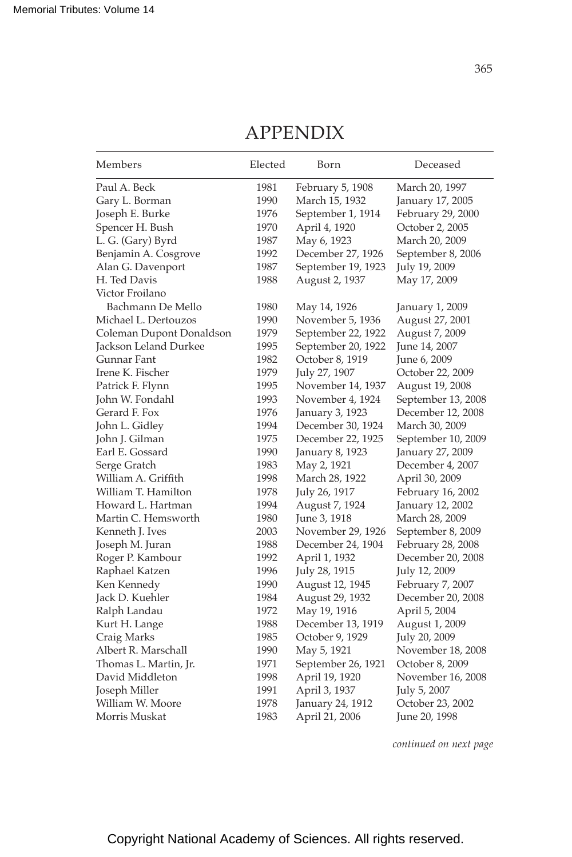| Members                  | Elected | Born               | Deceased           |
|--------------------------|---------|--------------------|--------------------|
| Paul A. Beck             | 1981    | February 5, 1908   | March 20, 1997     |
| Gary L. Borman           | 1990    | March 15, 1932     | January 17, 2005   |
| Joseph E. Burke          | 1976    | September 1, 1914  | February 29, 2000  |
| Spencer H. Bush          | 1970    | April 4, 1920      | October 2, 2005    |
| L. G. (Gary) Byrd        | 1987    | May 6, 1923        | March 20, 2009     |
| Benjamin A. Cosgrove     | 1992    | December 27, 1926  | September 8, 2006  |
| Alan G. Davenport        | 1987    | September 19, 1923 | July 19, 2009      |
| H. Ted Davis             | 1988    | August 2, 1937     | May 17, 2009       |
| Victor Froilano          |         |                    |                    |
| Bachmann De Mello        | 1980    | May 14, 1926       | January 1, 2009    |
| Michael L. Dertouzos     | 1990    | November 5, 1936   | August 27, 2001    |
| Coleman Dupont Donaldson | 1979    | September 22, 1922 | August 7, 2009     |
| Jackson Leland Durkee    | 1995    | September 20, 1922 | June 14, 2007      |
| Gunnar Fant              | 1982    | October 8, 1919    | June 6, 2009       |
| Irene K. Fischer         | 1979    | July 27, 1907      | October 22, 2009   |
| Patrick F. Flynn         | 1995    | November 14, 1937  | August 19, 2008    |
| John W. Fondahl          | 1993    | November 4, 1924   | September 13, 2008 |
| Gerard F. Fox            | 1976    | January 3, 1923    | December 12, 2008  |
| John L. Gidley           | 1994    | December 30, 1924  | March 30, 2009     |
| John J. Gilman           | 1975    | December 22, 1925  | September 10, 2009 |
| Earl E. Gossard          | 1990    | January 8, 1923    | January 27, 2009   |
| Serge Gratch             | 1983    | May 2, 1921        | December 4, 2007   |
| William A. Griffith      | 1998    | March 28, 1922     | April 30, 2009     |
| William T. Hamilton      | 1978    | July 26, 1917      | February 16, 2002  |
| Howard L. Hartman        | 1994    | August 7, 1924     | January 12, 2002   |
| Martin C. Hemsworth      | 1980    | June 3, 1918       | March 28, 2009     |
| Kenneth J. Ives          | 2003    | November 29, 1926  | September 8, 2009  |
| Joseph M. Juran          | 1988    | December 24, 1904  | February 28, 2008  |
| Roger P. Kambour         | 1992    | April 1, 1932      | December 20, 2008  |
| Raphael Katzen           | 1996    | July 28, 1915      | July 12, 2009      |
| Ken Kennedy              | 1990    | August 12, 1945    | February 7, 2007   |
| Jack D. Kuehler          | 1984    | August 29, 1932    | December 20, 2008  |
| Ralph Landau             | 1972    | May 19, 1916       | April 5, 2004      |
| Kurt H. Lange            | 1988    | December 13, 1919  | August 1, 2009     |
| Craig Marks              | 1985    | October 9, 1929    | July 20, 2009      |
| Albert R. Marschall      | 1990    | May 5, 1921        | November 18, 2008  |
| Thomas L. Martin, Jr.    | 1971    | September 26, 1921 | October 8, 2009    |
| David Middleton          | 1998    | April 19, 1920     | November 16, 2008  |
| Joseph Miller            | 1991    | April 3, 1937      | July 5, 2007       |
| William W. Moore         | 1978    | January 24, 1912   | October 23, 2002   |
| Morris Muskat            | 1983    | April 21, 2006     | June 20, 1998      |

## APPENDIX

*continued on next page*

Copyright National Academy of Sciences. All rights reserved.